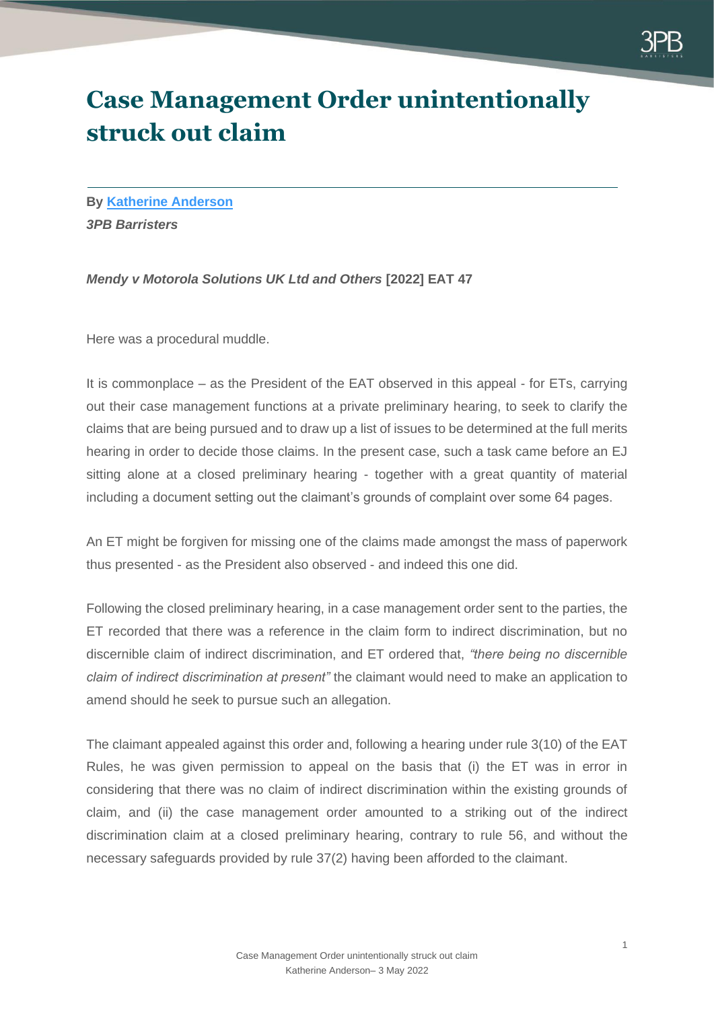

## **Case Management Order unintentionally struck out claim**

**By [Katherine Anderson](https://www.3pb.co.uk/barristers/katherine-anderson/)** *3PB Barristers*

*Mendy v Motorola Solutions UK Ltd and Others* **[2022] EAT 47**

Here was a procedural muddle.

It is commonplace – as the President of the EAT observed in this appeal - for ETs, carrying out their case management functions at a private preliminary hearing, to seek to clarify the claims that are being pursued and to draw up a list of issues to be determined at the full merits hearing in order to decide those claims. In the present case, such a task came before an EJ sitting alone at a closed preliminary hearing - together with a great quantity of material including a document setting out the claimant's grounds of complaint over some 64 pages.

An ET might be forgiven for missing one of the claims made amongst the mass of paperwork thus presented - as the President also observed - and indeed this one did.

Following the closed preliminary hearing, in a case management order sent to the parties, the ET recorded that there was a reference in the claim form to indirect discrimination, but no discernible claim of indirect discrimination, and ET ordered that, *"there being no discernible claim of indirect discrimination at present"* the claimant would need to make an application to amend should he seek to pursue such an allegation.

The claimant appealed against this order and, following a hearing under rule 3(10) of the EAT Rules, he was given permission to appeal on the basis that (i) the ET was in error in considering that there was no claim of indirect discrimination within the existing grounds of claim, and (ii) the case management order amounted to a striking out of the indirect discrimination claim at a closed preliminary hearing, contrary to rule 56, and without the necessary safeguards provided by rule 37(2) having been afforded to the claimant.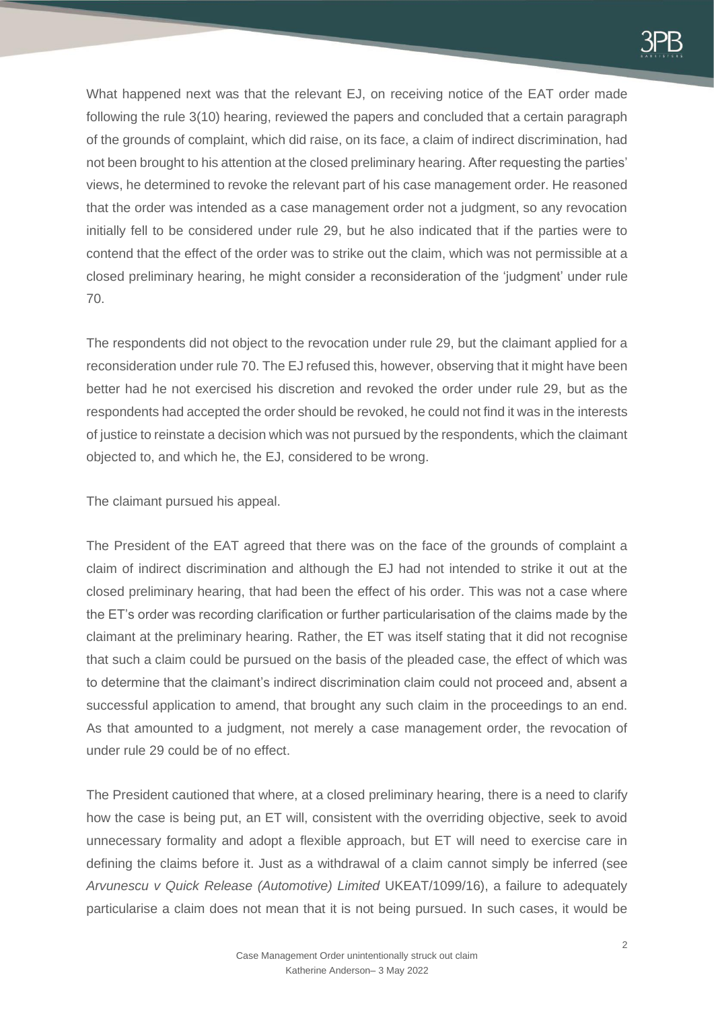

What happened next was that the relevant EJ, on receiving notice of the EAT order made following the rule 3(10) hearing, reviewed the papers and concluded that a certain paragraph of the grounds of complaint, which did raise, on its face, a claim of indirect discrimination, had not been brought to his attention at the closed preliminary hearing. After requesting the parties' views, he determined to revoke the relevant part of his case management order. He reasoned that the order was intended as a case management order not a judgment, so any revocation initially fell to be considered under rule 29, but he also indicated that if the parties were to contend that the effect of the order was to strike out the claim, which was not permissible at a closed preliminary hearing, he might consider a reconsideration of the 'judgment' under rule 70.

The respondents did not object to the revocation under rule 29, but the claimant applied for a reconsideration under rule 70. The EJ refused this, however, observing that it might have been better had he not exercised his discretion and revoked the order under rule 29, but as the respondents had accepted the order should be revoked, he could not find it was in the interests of justice to reinstate a decision which was not pursued by the respondents, which the claimant objected to, and which he, the EJ, considered to be wrong.

The claimant pursued his appeal.

The President of the EAT agreed that there was on the face of the grounds of complaint a claim of indirect discrimination and although the EJ had not intended to strike it out at the closed preliminary hearing, that had been the effect of his order. This was not a case where the ET's order was recording clarification or further particularisation of the claims made by the claimant at the preliminary hearing. Rather, the ET was itself stating that it did not recognise that such a claim could be pursued on the basis of the pleaded case, the effect of which was to determine that the claimant's indirect discrimination claim could not proceed and, absent a successful application to amend, that brought any such claim in the proceedings to an end. As that amounted to a judgment, not merely a case management order, the revocation of under rule 29 could be of no effect.

The President cautioned that where, at a closed preliminary hearing, there is a need to clarify how the case is being put, an ET will, consistent with the overriding objective, seek to avoid unnecessary formality and adopt a flexible approach, but ET will need to exercise care in defining the claims before it. Just as a withdrawal of a claim cannot simply be inferred (see *Arvunescu v Quick Release (Automotive) Limited* UKEAT/1099/16), a failure to adequately particularise a claim does not mean that it is not being pursued. In such cases, it would be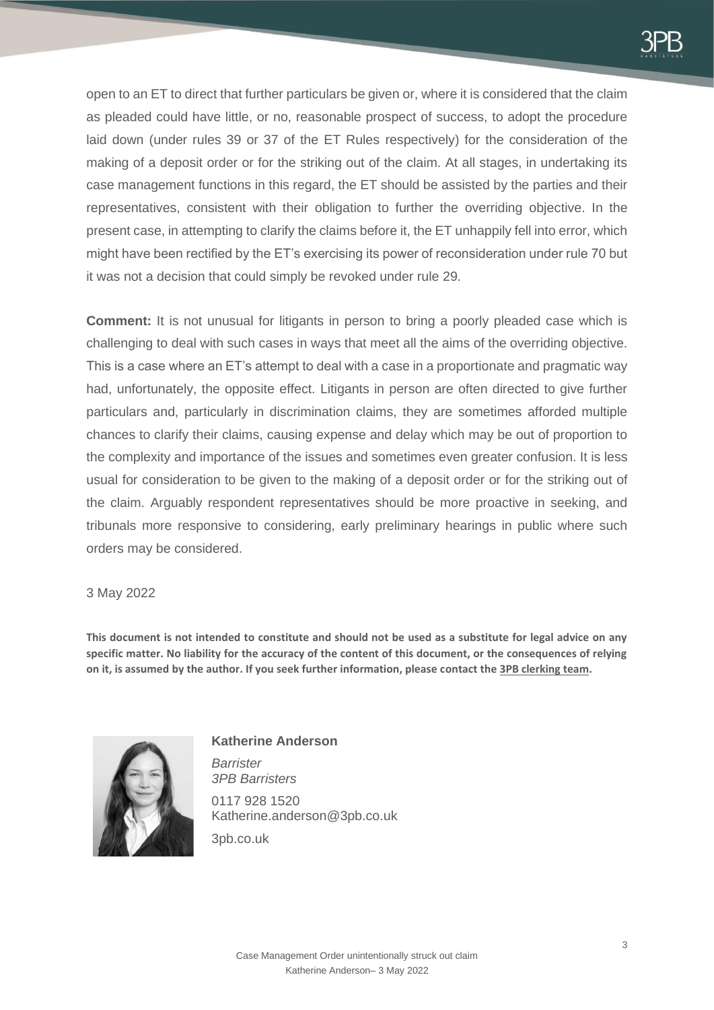

open to an ET to direct that further particulars be given or, where it is considered that the claim as pleaded could have little, or no, reasonable prospect of success, to adopt the procedure laid down (under rules 39 or 37 of the ET Rules respectively) for the consideration of the making of a deposit order or for the striking out of the claim. At all stages, in undertaking its case management functions in this regard, the ET should be assisted by the parties and their representatives, consistent with their obligation to further the overriding objective. In the present case, in attempting to clarify the claims before it, the ET unhappily fell into error, which might have been rectified by the ET's exercising its power of reconsideration under rule 70 but it was not a decision that could simply be revoked under rule 29.

**Comment:** It is not unusual for litigants in person to bring a poorly pleaded case which is challenging to deal with such cases in ways that meet all the aims of the overriding objective. This is a case where an ET's attempt to deal with a case in a proportionate and pragmatic way had, unfortunately, the opposite effect. Litigants in person are often directed to give further particulars and, particularly in discrimination claims, they are sometimes afforded multiple chances to clarify their claims, causing expense and delay which may be out of proportion to the complexity and importance of the issues and sometimes even greater confusion. It is less usual for consideration to be given to the making of a deposit order or for the striking out of the claim. Arguably respondent representatives should be more proactive in seeking, and tribunals more responsive to considering, early preliminary hearings in public where such orders may be considered.

3 May 2022

**This document is not intended to constitute and should not be used as a substitute for legal advice on any specific matter. No liability for the accuracy of the content of this document, or the consequences of relying on it, is assumed by the author. If you seek further information, please contact th[e 3PB clerking team.](mailto:emp.clerks@3pb.co.uk)**



## **Katherine Anderson**

*Barrister 3PB Barristers*

0117 928 1520 Katherine.anderson@3pb.co.uk

3pb.co.uk